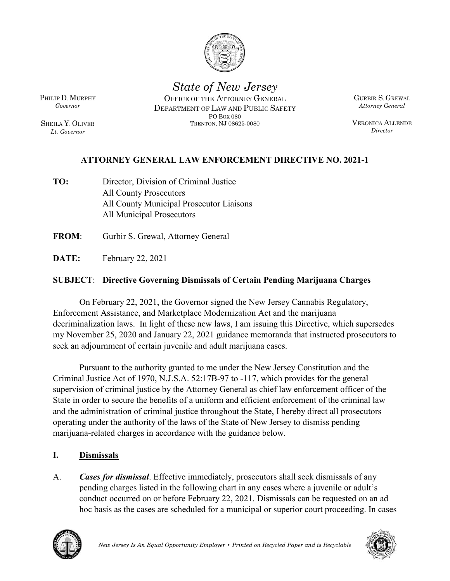

State of New Jersey

Lt. Governor

PHILIP D. MURPHY **OFFICE OF THE ATTORNEY GENERAL** GURBIR S. GREWAL Governor **EXECUTE:** DEPARTMENT OF LAW AND PUBLIC SAFETY Attorney General SHEILA Y. OLIVER TRENTON, NJ 08625-0080 FORCEMENT DIRECTIVE NO 2021-1<br>
NEORCEMENT DURING SAFETY<br>
LAW AND PUBLIC SAFETY<br>
PO BOX 080<br>
PO BOX 080<br>
PO BOX 080<br>
PERCEMENT DIRECTIVE NO 2021-1 TRENTON NEW SAFETY<br>
TRENTON OF THE ATTORNEY GENERAL<br>
NT OF LAW AND PUBLIC SAFETY<br>
PO BOX 080<br>
TRENTON, NJ 08625-0080<br>
TRENTON, NJ 08625-0080<br>
NENTORCEMENT DIRECTIVE NO. 2021-1

GURBIR S. GREWAL Attorney General

VERONICA ALLENDE **Director** 

- ATTORNEY GENERAL LAW ENFORCEMENT DIRECTIVE NO. 2021-1<br>
ATTORNEY GENERAL LAW ENFORCEMENT DIRECTIVE NO. 2021-1<br>
Director, Division of Criminal Justice<br>
ATTORNEY GENERAL LAW ENFORCEMENT DIRECTIVE NO. 2021-1<br>
Director, Divisio TO: Director, Division of Criminal Justice All County Prosecutors All County Municipal Prosecutor Liaisons All Municipal Prosecutors THE STATE: The Covering Dismissals of Certain Pending Marijuana Covering<br>
FROM: Gurbir S. Greenior<br>
THE S. Greenior<br>
THE S. Greenior<br>
THE S. Greenior<br>
ATTORNEY GENERAL LAW ENFORCEMENT DIRECTIVE NO.<br>
TO: Director, Division
- 
- DATE: February 22, 2021

## SUBJECT: Directive Governing Dismissals of Certain Pending Marijuana Charges

On February 22, 2021, the Governor signed the New Jersey Cannabis Regulatory, Enforcement Assistance, and Marketplace Modernization Act and the marijuana decriminalization laws. In light of these new laws, I am issuing this Directive, which supersedes my November 25, 2020 and January 22, 2021 guidance memoranda that instructed prosecutors to seek an adjournment of certain juvenile and adult marijuana cases.

aant to the authority granted to me under the New Jersey Constitution and the title Act of 1970, N.J.S.A. 52:17B-97 to -117, which provides for the general of eriminal justice by the Attorney General as chief law enforcem Pursuant to the authority granted to me under the New Jersey Constitution and the Criminal Justice Act of 1970, N.J.S.A. 52:17B-97 to -117, which provides for the general supervision of criminal justice by the Attorney General as chief law enforcement officer of the All Municipal Prosecutors<br> **EXECONSTERT:** February 22, 2021<br> **SUBJECT:** Directive Governing Dismissals of Certain Pending Marijuana Charges<br>
On February 22, 2021, the Governor signed the New Jersey Cannabis Regulatory,<br>
E and the administration of criminal justice throughout the State, I hereby direct all prosecutors operating under the authority of the laws of the State of New Jersey to dismiss pending **DATE:** February 22, 2021<br> **SUBJECT:** Directive Governing Dismissals of Certain Pending Marijuana Charges<br>
On February 22, 2021, the Governor signed the New Jersey Cannabis Regulatory,<br>
Enforcement Assistance, and Marketpl **SUBJECT:** Directive Governing Dismissals of Certain Pending Mariju<br>
On February 22, 2021, the Governor signed the New Jersey Cannabi<br>
Enforcement Assistance, and Marketplace Modernization Act and the marij<br>
decriminaliza On February 22, 2021, the Governor signed the New Jersey Cannabis Regulatory,<br>Enforcement Assistance, and Marketplace Modernization Act and the marijuana<br>decriminalization laws. In light of these new laws, I am issuing th

pending charges listed in the following chart in any cases where a juvenile or adult's conduct occurred on or before February 22, 2021. Dismissals can be requested on an ad hoc basis as the cases are scheduled for a municipal or superior court proceeding. In cases



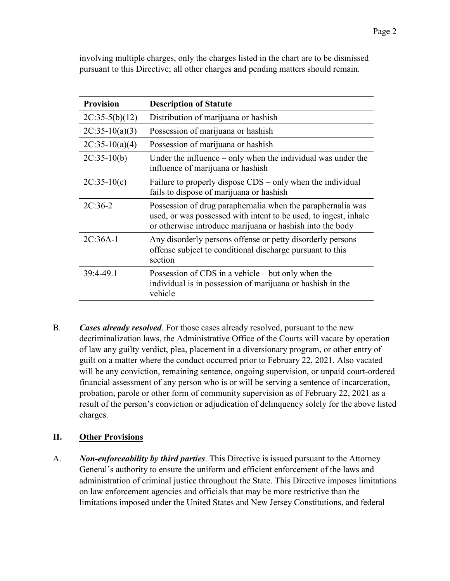| <b>Provision</b> | involving multiple charges, only the charges listed in the chart are to be dismissed<br>pursuant to this Directive; all other charges and pending matters should remain.<br><b>Description of Statute</b> |
|------------------|-----------------------------------------------------------------------------------------------------------------------------------------------------------------------------------------------------------|
| $2C:35-5(b)(12)$ | Distribution of marijuana or hashish                                                                                                                                                                      |
| $2C:35-10(a)(3)$ | Possession of marijuana or hashish                                                                                                                                                                        |
| $2C:35-10(a)(4)$ | Possession of marijuana or hashish                                                                                                                                                                        |
| $2C:35-10(b)$    | Under the influence $-$ only when the individual was under the<br>influence of marijuana or hashish                                                                                                       |
| $2C:35-10(c)$    | Failure to properly dispose CDS – only when the individual<br>fails to dispose of marijuana or hashish                                                                                                    |
| $2C:36-2$        | Possession of drug paraphernalia when the paraphernalia was<br>used, or was possessed with intent to be used, to ingest, inhale<br>or otherwise introduce marijuana or hashish into the body              |
| 2C:36A-1         | Any disorderly persons offense or petty disorderly persons<br>offense subject to conditional discharge pursuant to this<br>section                                                                        |
| 39:4-49.1        | Possession of CDS in a vehicle – but only when the<br>individual is in possession of marijuana or hashish in the<br>vehicle                                                                               |

decriminalization laws, the Administrative Office of the Courts will vacate by operation of law any guilty verdict, plea, placement in a diversionary program, or other entry of guilt on a matter where the conduct occurred prior to February 22, 2021. Also vacated will be any conviction, remaining sentence, ongoing supervision, or unpaid court-ordered financial assessment of any person who is or will be serving a sentence of incarceration, probation, parole or other form of community supervision as of February 22, 2021 as a result of the person's conviction or adjudication of delinquency solely for the above listed charges. offense subject to conditional discharge pursuan<br>section<br>section<br>39:4-49.1 Possession of CDS in a vehicle – but only when<br>individual is in possession of marijuana or hashi<br>vehicle<br>E<br>B. Cases already resolved. For those cas 39:4-49.1 Possession of CDS in a vehicle – but only when the<br>individual is in possession of marijuana or hashish in the<br>vehicle<br> $\blacksquare$ <br>B. **Cases already resolved.** For those cases already resolved, pursuant to the new<br>dec **Cases already resolved**. For those cases already resolved, pursuant to the new<br>decriminalization laws, the Administrative Office of the Courts will vacate by operation<br>of law any guilty verict, lea, placement in a diversi

General's authority to ensure the uniform and efficient enforcement of the laws and administration of criminal justice throughout the State. This Directive imposes limitations limitations imposed under the United States and New Jersey Constitutions, and federal